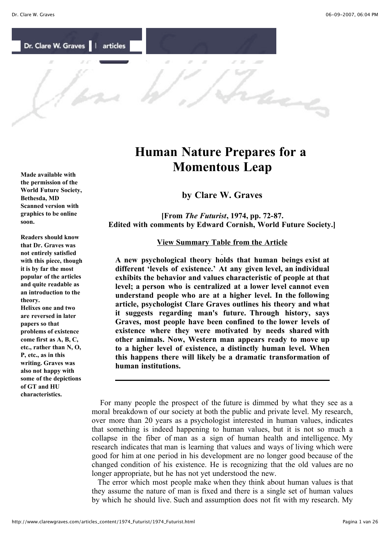have

Dr. Clare W. Graves | articles

**Human Nature Prepares for a Momentous Leap**

**by Clare W. Graves**

 **[From** *The Futurist***, 1974, pp. 72-87. Edited with comments by Edward Cornish, World Future Society.]**

## **View Summary Table from the Article**

**A new psychological theory holds that human beings exist at different 'levels of existence.' At any given level, an individual exhibits the behavior and values characteristic of people at that level; a person who is centralized at a lower level cannot even understand people who are at a higher level. In the following article, psychologist Clare Graves outlines his theory and what it suggests regarding man's future. Through history, says Graves, most people have been confined to the lower levels of existence where they were motivated by needs shared with other animals. Now, Western man appears ready to move up to a higher level of existence, a distinctly human level. When this happens there will likely be a dramatic transformation of human institutions.**

 For many people the prospect of the future is dimmed by what they see as a moral breakdown of our society at both the public and private level. My research, over more than 20 years as a psychologist interested in human values, indicates that something is indeed happening to human values, but it is not so much a collapse in the fiber of man as a sign of human health and intelligence. My research indicates that man is learning that values and ways of living which were good for him at one period in his development are no longer good because of the changed condition of his existence. He is recognizing that the old values are no longer appropriate, but he has not yet understood the new.

 The error which most people make when they think about human values is that they assume the nature of man is fixed and there is a single set of human values by which he should live. Such and assumption does not fit with my research. My

**Made available with the permission of the World Future Society, Bethesda, MD Scanned version with graphics to be online soon.**

**Readers should know that Dr. Graves was not entirely satisfied with this piece, though it is by far the most popular of the articles and quite readable as an introduction to the theory.**

**Helixes one and two are reversed in later papers so that problems of existence come first as A, B, C, etc., rather than N, O, P, etc., as in this writing. Graves was also not happy with some of the depictions of GT and HU characteristics.**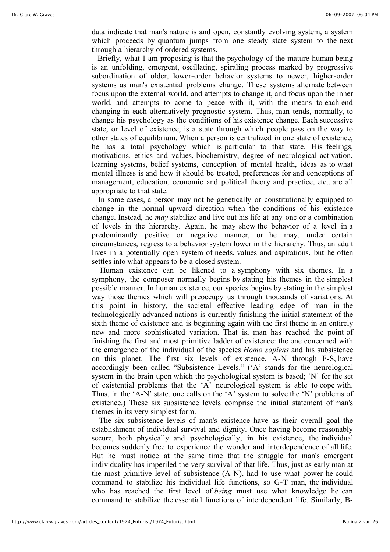data indicate that man's nature is and open, constantly evolving system, a system which proceeds by quantum jumps from one steady state system to the next through a hierarchy of ordered systems.

 Briefly, what I am proposing is that the psychology of the mature human being is an unfolding, emergent, oscillating, spiraling process marked by progressive subordination of older, lower-order behavior systems to newer, higher-order systems as man's existential problems change. These systems alternate between focus upon the external world, and attempts to change it, and focus upon the inner world, and attempts to come to peace with it, with the means to each end changing in each alternatively prognostic system. Thus, man tends, normally, to change his psychology as the conditions of his existence change. Each successive state, or level of existence, is a state through which people pass on the way to other states of equilibrium. When a person is centralized in one state of existence, he has a total psychology which is particular to that state. His feelings, motivations, ethics and values, biochemistry, degree of neurological activation, learning systems, belief systems, conception of mental health, ideas as to what mental illness is and how it should be treated, preferences for and conceptions of management, education, economic and political theory and practice, etc., are all appropriate to that state.

 In some cases, a person may not be genetically or constitutionally equipped to change in the normal upward direction when the conditions of his existence change. Instead, he *may* stabilize and live out his life at any one or a combination of levels in the hierarchy. Again, he may show the behavior of a level in a predominantly positive or negative manner, or he may, under certain circumstances, regress to a behavior system lower in the hierarchy. Thus, an adult lives in a potentially open system of needs, values and aspirations, but he often settles into what appears to be a closed system.

Human existence can be likened to a symphony with six themes. In a symphony, the composer normally begins by stating his themes in the simplest possible manner. In human existence, our species begins by stating in the simplest way those themes which will preoccupy us through thousands of variations. At this point in history, the societal effective leading edge of man in the technologically advanced nations is currently finishing the initial statement of the sixth theme of existence and is beginning again with the first theme in an entirely new and more sophisticated variation. That is, man has reached the point of finishing the first and most primitive ladder of existence: the one concerned with the emergence of the individual of the species *Homo sapiens* and his subsistence on this planet. The first six levels of existence, A-N through F-S, have accordingly been called "Subsistence Levels." ('A' stands for the neurological system in the brain upon which the psychological system is based; 'N' for the set of existential problems that the 'A' neurological system is able to cope with. Thus, in the 'A-N' state, one calls on the 'A' system to solve the 'N' problems of existence.) These six subsistence levels comprise the initial statement of man's themes in its very simplest form.

The six subsistence levels of man's existence have as their overall goal the establishment of individual survival and dignity. Once having become reasonably secure, both physically and psychologically, in his existence, the individual becomes suddenly free to experience the wonder and interdependence of all life. But he must notice at the same time that the struggle for man's emergent individuality has imperiled the very survival of that life. Thus, just as early man at the most primitive level of subsistence (A-N), had to use what power he could command to stabilize his individual life functions, so G-T man, the individual who has reached the first level of *being* must use what knowledge he can command to stabilize the essential functions of interdependent life. Similarly, B-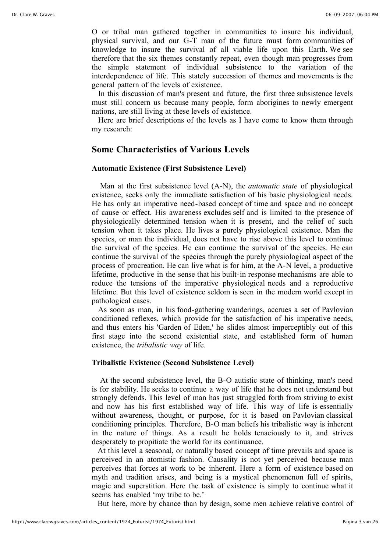O or tribal man gathered together in communities to insure his individual, physical survival, and our G-T man of the future must form communities of knowledge to insure the survival of all viable life upon this Earth. We see therefore that the six themes constantly repeat, even though man progresses from the simple statement of individual subsistence to the variation of the interdependence of life. This stately succession of themes and movements is the general pattern of the levels of existence.

 In this discussion of man's present and future, the first three subsistence levels must still concern us because many people, form aborigines to newly emergent nations, are still living at these levels of existence.

 Here are brief descriptions of the levels as I have come to know them through my research:

# **Some Characteristics of Various Levels**

## **Automatic Existence (First Subsistence Level)**

 Man at the first subsistence level (A-N), the *automatic state* of physiological existence, seeks only the immediate satisfaction of his basic physiological needs. He has only an imperative need-based concept of time and space and no concept of cause or effect. His awareness excludes self and is limited to the presence of physiologically determined tension when it is present, and the relief of such tension when it takes place. He lives a purely physiological existence. Man the species, or man the individual, does not have to rise above this level to continue the survival of the species. He can continue the survival of the species. He can continue the survival of the species through the purely physiological aspect of the process of procreation. He can live what is for him, at the A-N level, a productive lifetime, productive in the sense that his built-in response mechanisms are able to reduce the tensions of the imperative physiological needs and a reproductive lifetime. But this level of existence seldom is seen in the modern world except in pathological cases.

 As soon as man, in his food-gathering wanderings, accrues a set of Pavlovian conditioned reflexes, which provide for the satisfaction of his imperative needs, and thus enters his 'Garden of Eden,' he slides almost imperceptibly out of this first stage into the second existential state, and established form of human existence, the *tribalistic way* of life.

# **Tribalistic Existence (Second Subsistence Level)**

 At the second subsistence level, the B-O autistic state of thinking, man's need is for stability. He seeks to continue a way of life that he does not understand but strongly defends. This level of man has just struggled forth from striving to exist and now has his first established way of life. This way of life is essentially without awareness, thought, or purpose, for it is based on Pavlovian classical conditioning principles. Therefore, B-O man beliefs his tribalistic way is inherent in the nature of things. As a result he holds tenaciously to it, and strives desperately to propitiate the world for its continuance.

 At this level a seasonal, or naturally based concept of time prevails and space is perceived in an atomistic fashion. Causality is not yet perceived because man perceives that forces at work to be inherent. Here a form of existence based on myth and tradition arises, and being is a mystical phenomenon full of spirits, magic and superstition. Here the task of existence is simply to continue what it seems has enabled 'my tribe to be.'

But here, more by chance than by design, some men achieve relative control of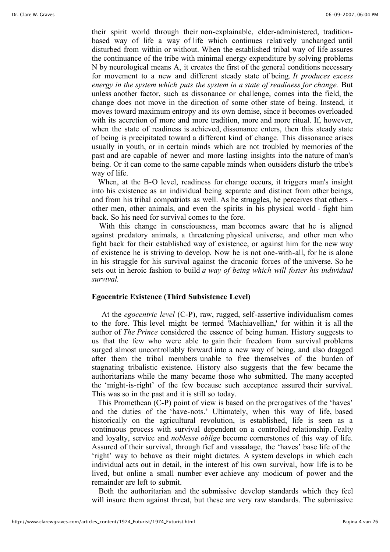their spirit world through their non-explainable, elder-administered, traditionbased way of life a way of life which continues relatively unchanged until disturbed from within or without. When the established tribal way of life assures the continuance of the tribe with minimal energy expenditure by solving problems N by neurological means A, it creates the first of the general conditions necessary for movement to a new and different steady state of being. *It produces excess energy in the system which puts the system in a state of readiness for change.* But unless another factor, such as dissonance or challenge, comes into the field, the change does not move in the direction of some other state of being. Instead, it moves toward maximum entropy and its own demise, since it becomes overloaded with its accretion of more and more tradition, more and more ritual. If, however, when the state of readiness is achieved, dissonance enters, then this steady state of being is precipitated toward a different kind of change. This dissonance arises usually in youth, or in certain minds which are not troubled by memories of the past and are capable of newer and more lasting insights into the nature of man's being. Or it can come to the same capable minds when outsiders disturb the tribe's way of life.

 When, at the B-O level, readiness for change occurs, it triggers man's insight into his existence as an individual being separate and distinct from other beings, and from his tribal compatriots as well. As he struggles, he perceives that others other men, other animals, and even the spirits in his physical world - fight him back. So his need for survival comes to the fore.

With this change in consciousness, man becomes aware that he is aligned against predatory animals, a threatening physical universe, and other men who fight back for their established way of existence, or against him for the new way of existence he is striving to develop. Now he is not one-with-all, for he is alone in his struggle for his survival against the draconic forces of the universe. So he sets out in heroic fashion to build *a way of being which will foster his individual survival.*

# **Egocentric Existence (Third Subsistence Level)**

 At the *egocentric level* (C-P), raw, rugged, self-assertive individualism comes to the fore. This level might be termed 'Machiavellian,' for within it is all the author of *The Prince* considered the essence of being human. History suggests to us that the few who were able to gain their freedom from survival problems surged almost uncontrollably forward into a new way of being, and also dragged after them the tribal members unable to free themselves of the burden of stagnating tribalistic existence. History also suggests that the few became the authoritarians while the many became those who submitted. The many accepted the 'might-is-right' of the few because such acceptance assured their survival. This was so in the past and it is still so today.

 This Promethean (C-P) point of view is based on the prerogatives of the 'haves' and the duties of the 'have-nots.' Ultimately, when this way of life, based historically on the agricultural revolution, is established, life is seen as a continuous process with survival dependent on a controlled relationship. Fealty and loyalty, service and *noblesse oblige* become cornerstones of this way of life. Assured of their survival, through fief and vassalage, the 'haves' base life of the 'right' way to behave as their might dictates. A system develops in which each individual acts out in detail, in the interest of his own survival, how life is to be lived, but online a small number ever achieve any modicum of power and the remainder are left to submit.

Both the authoritarian and the submissive develop standards which they feel will insure them against threat, but these are very raw standards. The submissive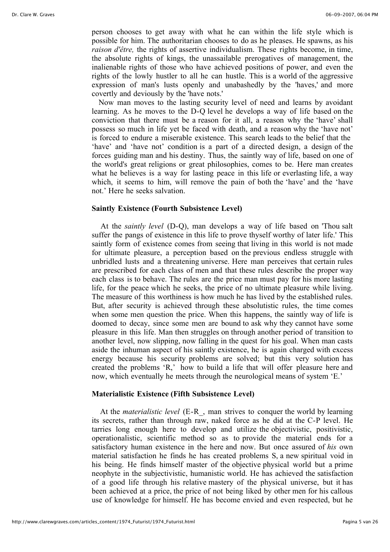person chooses to get away with what he can within the life style which is possible for him. The authoritarian chooses to do as he pleases. He spawns, as his *raison d'être,* the rights of assertive individualism. These rights become, in time, the absolute rights of kings, the unassailable prerogatives of management, the inalienable rights of those who have achieved positions of power, and even the rights of the lowly hustler to all he can hustle. This is a world of the aggressive expression of man's lusts openly and unabashedly by the 'haves,' and more covertly and deviously by the 'have nots.'

Now man moves to the lasting security level of need and learns by avoidant learning. As he moves to the D-Q level he develops a way of life based on the conviction that there must be a reason for it all, a reason why the 'have' shall possess so much in life yet be faced with death, and a reason why the 'have not' is forced to endure a miserable existence. This search leads to the belief that the 'have' and 'have not' condition is a part of a directed design, a design of the forces guiding man and his destiny. Thus, the saintly way of life, based on one of the world's great religions or great philosophies, comes to be. Here man creates what he believes is a way for lasting peace in this life or everlasting life, a way which, it seems to him, will remove the pain of both the 'have' and the 'have not.' Here he seeks salvation.

#### **Saintly Existence (Fourth Subsistence Level)**

 At the *saintly level* (D-Q), man develops a way of life based on 'Thou salt suffer the pangs of existence in this life to prove thyself worthy of later life.' This saintly form of existence comes from seeing that living in this world is not made for ultimate pleasure, a perception based on the previous endless struggle with unbridled lusts and a threatening universe. Here man perceives that certain rules are prescribed for each class of men and that these rules describe the proper way each class is to behave. The rules are the price man must pay for his more lasting life, for the peace which he seeks, the price of no ultimate pleasure while living. The measure of this worthiness is how much he has lived by the established rules. But, after security is achieved through these absolutistic rules, the time comes when some men question the price. When this happens, the saintly way of life is doomed to decay, since some men are bound to ask why they cannot have some pleasure in this life. Man then struggles on through another period of transition to another level, now slipping, now falling in the quest for his goal. When man casts aside the inhuman aspect of his saintly existence, he is again charged with excess energy because his security problems are solved; but this very solution has created the problems 'R,' how to build a life that will offer pleasure here and now, which eventually he meets through the neurological means of system 'E.'

# **Materialistic Existence (Fifth Subsistence Level)**

 At the *materialistic level* (E-R\_, man strives to conquer the world by learning its secrets, rather than through raw, naked force as he did at the C-P level. He tarries long enough here to develop and utilize the objectivistic, positivistic, operationalistic, scientific method so as to provide the material ends for a satisfactory human existence in the here and now. But once assured of *his* own material satisfaction he finds he has created problems S, a new spiritual void in his being. He finds himself master of the objective physical world but a prime neophyte in the subjectivistic, humanistic world. He has achieved the satisfaction of a good life through his relative mastery of the physical universe, but it has been achieved at a price, the price of not being liked by other men for his callous use of knowledge for himself. He has become envied and even respected, but he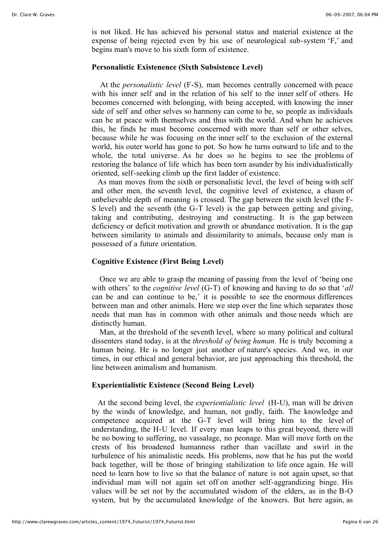is not liked. He has achieved his personal status and material existence at the expense of being rejected even by his use of neurological sub-system 'F,' and begins man's move to his sixth form of existence.

#### **Personalistic Existenence (Sixth Subsistence Level)**

 At the *personalistic level* (F-S), man becomes centrally concerned with peace with his inner self and in the relation of his self to the inner self of others. He becomes concerned with belonging, with being accepted, with knowing the inner side of self and other selves so harmony can come to be, so people as individuals can be at peace with themselves and thus with the world. And when he achieves this, he finds he must become concerned with more than self or other selves, because while he was focusing on the inner self to the exclusion of the external world, his outer world has gone to pot. So how he turns outward to life and to the whole, the total universe. As he does so he begins to see the problems of restoring the balance of life which has been torn asunder by his individualistically oriented, self-seeking climb up the first ladder of existence.

 As man moves from the sixth or personalistic level, the level of being with self and other men, the seventh level, the cognitive level of existence, a chasm of unbelievable depth of meaning is crossed. The gap between the sixth level (the F-S level) and the seventh (the G-T level) is the gap between getting and giving, taking and contributing, destroying and constructing. It is the gap between deficiency or deficit motivation and growth or abundance motivation. It is the gap between similarity to animals and dissimilarity to animals, because only man is possessed of a future orientation.

# **Cognitive Existence (First Being Level)**

 Once we are able to grasp the meaning of passing from the level of 'being one with others' to the *cognitive level* (G-T) of knowing and having to do so that '*all* can be and can continue to be,' it is possible to see the enormous differences between man and other animals. Here we step over the line which separates those needs that man has in common with other animals and those needs which are distinctly human.

 Man, at the threshold of the seventh level, where so many political and cultural dissenters stand today, is at the *threshold of being human.* He is truly becoming a human being. He is no longer just another of nature's species. And we, in our times, in our ethical and general behavior, are just approaching this threshold, the line between animalism and humanism.

# **Experientialistic Existence (Second Being Level)**

 At the second being level, the *experientialistic level* (H-U), man will be driven by the winds of knowledge, and human, not godly, faith. The knowledge and competence acquired at the G-T level will bring him to the level of understanding, the H-U level. If every man leaps to this great beyond, there will be no bowing to suffering, no vassalage, no peonage. Man will move forth on the crests of his broadened humanness rather than vacillate and swirl in the turbulence of his animalistic needs. His problems, now that he has put the world back together, will be those of bringing stabilization to life once again. He will need to learn how to live so that the balance of nature is not again upset, so that individual man will not again set off on another self-aggrandizing binge. His values will be set not by the accumulated wisdom of the elders, as in the B-O system, but by the accumulated knowledge of the knowers. But here again, as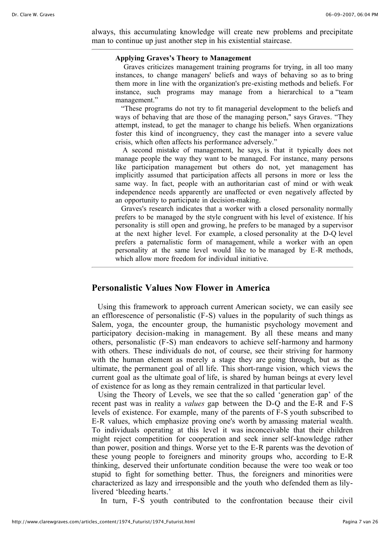always, this accumulating knowledge will create new problems and precipitate man to continue up just another step in his existential staircase.

#### **Applying Graves's Theory to Management**

Graves criticizes management training programs for trying, in all too many instances, to change managers' beliefs and ways of behaving so as to bring them more in line with the organization's pre-existing methods and beliefs. For instance, such programs may manage from a hierarchical to a "team management."

"These programs do not try to fit managerial development to the beliefs and ways of behaving that are those of the managing person," says Graves. "They attempt, instead, to get the manager to change his beliefs. When organizations foster this kind of incongruency, they cast the manager into a severe value crisis, which often affects his performance adversely."

A second mistake of management, he says, is that it typically does not manage people the way they want to be managed. For instance, many persons like participation management but others do not, yet management has implicitly assumed that participation affects all persons in more or less the same way. In fact, people with an authoritarian cast of mind or with weak independence needs apparently are unaffected or even negatively affected by an opportunity to participate in decision-making.

Graves's research indicates that a worker with a closed personality normally prefers to be managed by the style congruent with his level of existence. If his personality is still open and growing, he prefers to be managed by a supervisor at the next higher level. For example, a closed personality at the D-Q level prefers a paternalistic form of management, while a worker with an open personality at the same level would like to be managed by E-R methods, which allow more freedom for individual initiative.

# **Personalistic Values Now Flower in America**

 Using this framework to approach current American society, we can easily see an efflorescence of personalistic (F-S) values in the popularity of such things as Salem, yoga, the encounter group, the humanistic psychology movement and participatory decision-making in management. By all these means and many others, personalistic (F-S) man endeavors to achieve self-harmony and harmony with others. These individuals do not, of course, see their striving for harmony with the human element as merely a stage they are going through, but as the ultimate, the permanent goal of all life. This short-range vision, which views the current goal as the ultimate goal of life, is shared by human beings at every level of existence for as long as they remain centralized in that particular level.

 Using the Theory of Levels, we see that the so called 'generation gap' of the recent past was in reality a *values* gap between the D-Q and the E-R and F-S levels of existence. For example, many of the parents of F-S youth subscribed to E-R values, which emphasize proving one's worth by amassing material wealth. To individuals operating at this level it was inconceivable that their children might reject competition for cooperation and seek inner self-knowledge rather than power, position and things. Worse yet to the E-R parents was the devotion of these young people to foreigners and minority groups who, according to E-R thinking, deserved their unfortunate condition because the were too weak or too stupid to fight for something better. Thus, the foreigners and minorities were characterized as lazy and irresponsible and the youth who defended them as lilylivered 'bleeding hearts.'

In turn, F-S youth contributed to the confrontation because their civil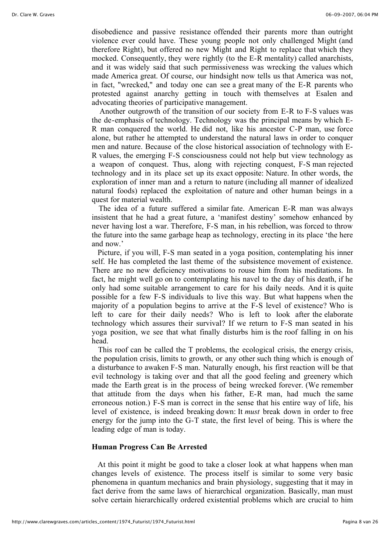disobedience and passive resistance offended their parents more than outright violence ever could have. These young people not only challenged Might (and therefore Right), but offered no new Might and Right to replace that which they mocked. Consequently, they were rightly (to the E-R mentality) called anarchists, and it was widely said that such permissiveness was wrecking the values which made America great. Of course, our hindsight now tells us that America was not, in fact, "wrecked," and today one can see a great many of the E-R parents who protested against anarchy getting in touch with themselves at Esalen and advocating theories of participative management.

 Another outgrowth of the transition of our society from E-R to F-S values was the de-emphasis of technology. Technology was the principal means by which E-R man conquered the world. He did not, like his ancestor C-P man, use force alone, but rather he attempted to understand the natural laws in order to conquer men and nature. Because of the close historical association of technology with E-R values, the emerging F-S consciousness could not help but view technology as a weapon of conquest. Thus, along with rejecting conquest, F-S man rejected technology and in its place set up its exact opposite: Nature. In other words, the exploration of inner man and a return to nature (including all manner of idealized natural foods) replaced the exploitation of nature and other human beings in a quest for material wealth.

The idea of a future suffered a similar fate. American E-R man was always insistent that he had a great future, a 'manifest destiny' somehow enhanced by never having lost a war. Therefore, F-S man, in his rebellion, was forced to throw the future into the same garbage heap as technology, erecting in its place 'the here and now.'

 Picture, if you will, F-S man seated in a yoga position, contemplating his inner self. He has completed the last theme of the subsistence movement of existence. There are no new deficiency motivations to rouse him from his meditations. In fact, he might well go on to contemplating his navel to the day of his death, if he only had some suitable arrangement to care for his daily needs. And it is quite possible for a few F-S individuals to live this way. But what happens when the majority of a population begins to arrive at the F-S level of existence? Who is left to care for their daily needs? Who is left to look after the elaborate technology which assures their survival? If we return to F-S man seated in his yoga position, we see that what finally disturbs him is the roof falling in on his head.

 This roof can be called the T problems, the ecological crisis, the energy crisis, the population crisis, limits to growth, or any other such thing which is enough of a disturbance to awaken F-S man. Naturally enough, his first reaction will be that evil technology is taking over and that all the good feeling and greenery which made the Earth great is in the process of being wrecked forever. (We remember that attitude from the days when his father, E-R man, had much the same erroneous notion.) F-S man is correct in the sense that his entire way of life, his level of existence, is indeed breaking down: It *must* break down in order to free energy for the jump into the G-T state, the first level of being. This is where the leading edge of man is today.

#### **Human Progress Can Be Arrested**

 At this point it might be good to take a closer look at what happens when man changes levels of existence. The process itself is similar to some very basic phenomena in quantum mechanics and brain physiology, suggesting that it may in fact derive from the same laws of hierarchical organization. Basically, man must solve certain hierarchically ordered existential problems which are crucial to him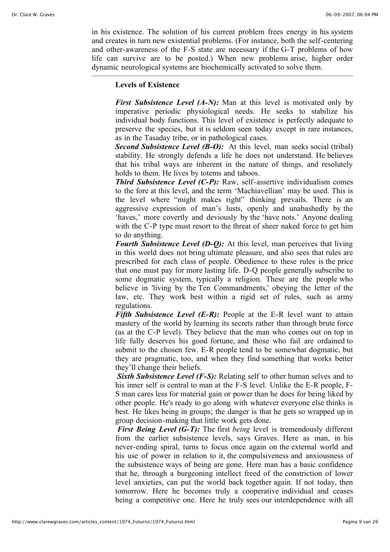in his existence. The solution of his current problem frees energy in his system and creates in turn new existential problems. (For instance, both the self-centering and other-awareness of the F-S state are necessary if the G-T problems of how life can survive are to be posted.) When new problems arise, higher order dynamic neurological systems are biochemically activated to solve them.

# **Levels of Existence**

*First Subsistence Level (A-N):* Man at this level is motivated only by imperative periodic physiological needs. He seeks to stabilize his individual body functions. This level of existence is perfectly adequate to preserve the species, but it is seldom seen today except in rare instances, as in the Tasaday tribe, or in pathological cases.

*Second Subsistence Level (B-O):* At this level, man seeks social (tribal) stability. He strongly defends a life he does not understand. He believes that his tribal ways are inherent in the nature of things, and resolutely holds to them. He lives by totems and taboos.

*Third Subsistence Level (C-P):* Raw, self-assertive individualism comes to the fore at this level, and the term 'Machiavellian' may be used. This is the level where "might makes right" thinking prevails. There is an aggressive expression of man's lusts, openly and unabashedly by the 'haves,' more covertly and deviously by the 'have nots.' Anyone dealing with the C-P type must resort to the threat of sheer naked force to get him to do anything.

*Fourth Subsistence Level (D-Q):* At this level, man perceives that living in this world does not bring ultimate pleasure, and also sees that rules are prescribed for each class of people. Obedience to these rules is the price that one must pay for more lasting life. D-Q people generally subscribe to some dogmatic system, typically a religion. These are the people who believe in 'living by the Ten Commandments,' obeying the letter of the law, etc. They work best within a rigid set of rules, such as army regulations.

*Fifth Subsistence Level (E-R):* People at the E-R level want to attain mastery of the world by learning its secrets rather than through brute force (as at the C-P level). They believe that the man who comes out on top in life fully deserves his good fortune, and those who fail are ordained to submit to the chosen few. E-R people tend to be somewhat dogmatic, but they are pragmatic, too, and when they find something that works better they'll change their beliefs.

*Sixth Subsistence Level (F-S):* Relating self to other human selves and to his inner self is central to man at the F-S level. Unlike the E-R people, F-S man cares less for material gain or power than he does for being liked by other people. He's ready to go along with whatever everyone else thinks is best. He likes being in groups; the danger is that he gets so wrapped up in group decision-making that little work gets done.

*First Being Level (G-T):* The first *being* level is tremendously different from the earlier subsistence levels, says Graves. Here as man, in his never-ending spiral, turns to focus once again on the external world and his use of power in relation to it, the compulsiveness and anxiousness of the subsistence ways of being are gone. Here man has a basic confidence that he, through a burgeoning intellect freed of the constriction of lower level anxieties, can put the world back together again. If not today, then tomorrow. Here he becomes truly a cooperative individual and ceases being a competitive one. Here he truly sees our interdependence with all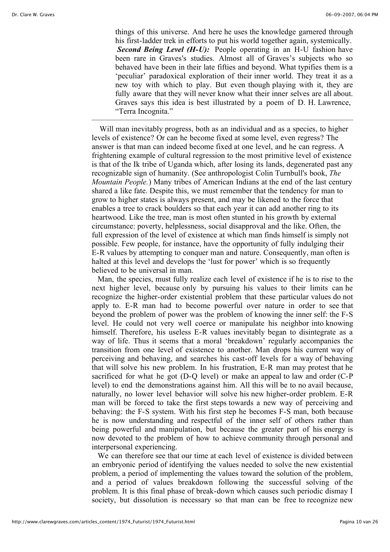things of this universe. And here he uses the knowledge garnered through his first-ladder trek in efforts to put his world together again, systemically. *Second Being Level (H-U):* People operating in an H-U fashion have been rare in Graves's studies. Almost all of Graves's subjects who so behaved have been in their late fifties and beyond. What typifies them is a 'peculiar' paradoxical exploration of their inner world. They treat it as a new toy with which to play. But even though playing with it, they are fully aware that they will never know what their inner selves are all about. Graves says this idea is best illustrated by a poem of D. H. Lawrence, "Terra Incognita."

 Will man inevitably progress, both as an individual and as a species, to higher levels of existence? Or can he become fixed at some level, even regress? The answer is that man can indeed become fixed at one level, and he can regress. A frightening example of cultural regression to the most primitive level of existence is that of the Ik tribe of Uganda which, after losing its lands, degenerated past any recognizable sign of humanity. (See anthropologist Colin Turnbull's book, *The Mountain People.*) Many tribes of American Indians at the end of the last century shared a like fate. Despite this, we must remember that the tendency for man to grow to higher states is always present, and may be likened to the force that enables a tree to crack boulders so that each year it can add another ring to its heartwood. Like the tree, man is most often stunted in his growth by external circumstance: poverty, helplessness, social disapproval and the like. Often, the full expression of the level of existence at which man finds himself is simply not possible. Few people, for instance, have the opportunity of fully indulging their E-R values by attempting to conquer man and nature. Consequently, man often is halted at this level and develops the 'lust for power' which is so frequently believed to be universal in man.

 Man, the species, must fully realize each level of existence if he is to rise to the next higher level, because only by pursuing his values to their limits can he recognize the higher-order existential problem that these particular values do not apply to. E-R man had to become powerful over nature in order to see that beyond the problem of power was the problem of knowing the inner self: the F-S level. He could not very well coerce or manipulate his neighbor into knowing himself. Therefore, his useless E-R values inevitably began to disintegrate as a way of life. Thus it seems that a moral 'breakdown' regularly accompanies the transition from one level of existence to another. Man drops his current way of perceiving and behaving, and searches his cast-off levels for a way of behaving that will solve his new problem. In his frustration, E-R man may protest that he sacrificed for what he got (D-Q level) or make an appeal to law and order (C-P level) to end the demonstrations against him. All this will be to no avail because, naturally, no lower level behavior will solve his new higher-order problem. E-R man will be forced to take the first steps towards a new way of perceiving and behaving: the F-S system. With his first step he becomes F-S man, both because he is now understanding and respectful of the inner self of others rather than being powerful and manipulation, but because the greater part of his energy is now devoted to the problem of how to achieve community through personal and interpersonal experiencing.

 We can therefore see that our time at each level of existence is divided between an embryonic period of identifying the values needed to solve the new existential problem, a period of implementing the values toward the solution of the problem, and a period of values breakdown following the successful solving of the problem. It is this final phase of break-down which causes such periodic dismay I society, but dissolution is necessary so that man can be free to recognize new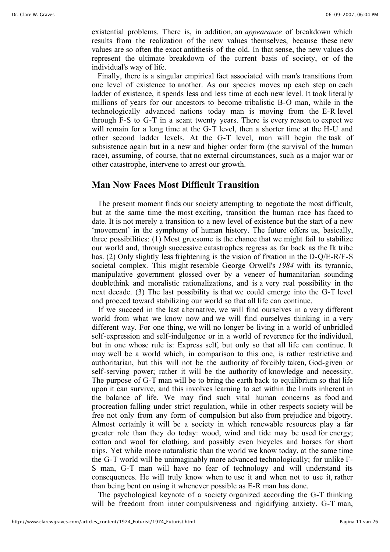existential problems. There is, in addition, an *appearance* of breakdown which results from the realization of the new values themselves, because these new values are so often the exact antithesis of the old. In that sense, the new values do represent the ultimate breakdown of the current basis of society, or of the individual's way of life.

 Finally, there is a singular empirical fact associated with man's transitions from one level of existence to another. As our species moves up each step on each ladder of existence, it spends less and less time at each new level. It took literally millions of years for our ancestors to become tribalistic B-O man, while in the technologically advanced nations today man is moving from the E-R level through F-S to G-T in a scant twenty years. There is every reason to expect we will remain for a long time at the G-T level, then a shorter time at the H-U and other second ladder levels. At the G-T level, man will begin the task of subsistence again but in a new and higher order form (the survival of the human race), assuming, of course, that no external circumstances, such as a major war or other catastrophe, intervene to arrest our growth.

# **Man Now Faces Most Difficult Transition**

 The present moment finds our society attempting to negotiate the most difficult, but at the same time the most exciting, transition the human race has faced to date. It is not merely a transition to a new level of existence but the start of a new 'movement' in the symphony of human history. The future offers us, basically, three possibilities: (1) Most gruesome is the chance that we might fail to stabilize our world and, through successive catastrophes regress as far back as the Ik tribe has. (2) Only slightly less frightening is the vision of fixation in the D-Q/E-R/F-S societal complex. This might resemble George Orwell's *1984* with its tyrannic, manipulative government glossed over by a veneer of humanitarian sounding doublethink and moralistic rationalizations, and is a very real possibility in the next decade. (3) The last possibility is that we could emerge into the G-T level and proceed toward stabilizing our world so that all life can continue.

 If we succeed in the last alternative, we will find ourselves in a very different world from what we know now and we will find ourselves thinking in a very different way. For one thing, we will no longer be living in a world of unbridled self-expression and self-indulgence or in a world of reverence for the individual, but in one whose rule is: Express self, but only so that all life can continue. It may well be a world which, in comparison to this one, is rather restrictive and authoritarian, but this will not be the authority of forcibly taken, God-given or self-serving power; rather it will be the authority of knowledge and necessity. The purpose of G-T man will be to bring the earth back to equilibrium so that life upon it can survive, and this involves learning to act within the limits inherent in the balance of life. We may find such vital human concerns as food and procreation falling under strict regulation, while in other respects society will be free not only from any form of compulsion but also from prejudice and bigotry. Almost certainly it will be a society in which renewable resources play a far greater role than they do today: wood, wind and tide may be used for energy; cotton and wool for clothing, and possibly even bicycles and horses for short trips. Yet while more naturalistic than the world we know today, at the same time the G-T world will be unimaginably more advanced technologically; for unlike F-S man, G-T man will have no fear of technology and will understand its consequences. He will truly know when to use it and when not to use it, rather than being bent on using it whenever possible as E-R man has done.

 The psychological keynote of a society organized according the G-T thinking will be freedom from inner compulsiveness and rigidifying anxiety. G-T man,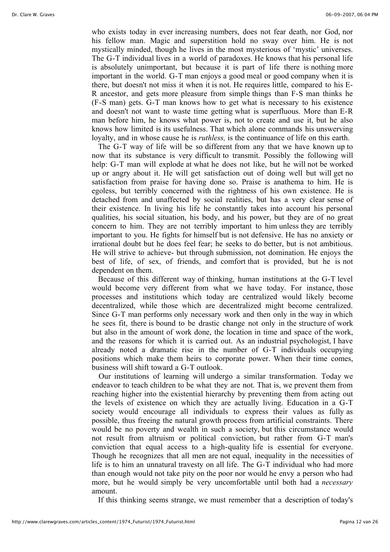who exists today in ever increasing numbers, does not fear death, nor God, nor his fellow man. Magic and superstition hold no sway over him. He is not mystically minded, though he lives in the most mysterious of 'mystic' universes. The G-T individual lives in a world of paradoxes. He knows that his personal life is absolutely unimportant, but because it is part of life there is nothing more important in the world. G-T man enjoys a good meal or good company when it is there, but doesn't not miss it when it is not. He requires little, compared to his E-R ancestor, and gets more pleasure from simple things than F-S man thinks he (F-S man) gets. G-T man knows how to get what is necessary to his existence and doesn't not want to waste time getting what is superfluous. More than E-R man before him, he knows what power is, not to create and use it, but he also knows how limited is its usefulness. That which alone commands his unswerving loyalty, and in whose cause he is *ruthless,* is the continuance of life on this earth.

 The G-T way of life will be so different from any that we have known up to now that its substance is very difficult to transmit. Possibly the following will help: G-T man will explode at what he does not like, but he will not be worked up or angry about it. He will get satisfaction out of doing well but will get no satisfaction from praise for having done so. Praise is anathema to him. He is egoless, but terribly concerned with the rightness of his own existence. He is detached from and unaffected by social realities, but has a very clear sense of their existence. In living his life he constantly takes into account his personal qualities, his social situation, his body, and his power, but they are of no great concern to him. They are not terribly important to him unless they are terribly important to you. He fights for himself but is not defensive. He has no anxiety or irrational doubt but he does feel fear; he seeks to do better, but is not ambitious. He will strive to achieve- but through submission, not domination. He enjoys the best of life, of sex, of friends, and comfort that is provided, but he is not dependent on them.

 Because of this different way of thinking, human institutions at the G-T level would become very different from what we have today. For instance, those processes and institutions which today are centralized would likely become decentralized, while those which are decentralized might become centralized. Since G-T man performs only necessary work and then only in the way in which he sees fit, there is bound to be drastic change not only in the structure of work but also in the amount of work done, the location in time and space of the work, and the reasons for which it is carried out. As an industrial psychologist, I have already noted a dramatic rise in the number of G-T individuals occupying positions which make them heirs to corporate power. When their time comes, business will shift toward a G-T outlook.

Our institutions of learning will undergo a similar transformation. Today we endeavor to teach children to be what they are not. That is, we prevent them from reaching higher into the existential hierarchy by preventing them from acting out the levels of existence on which they are actually living. Education in a G-T society would encourage all individuals to express their values as fully as possible, thus freeing the natural growth process from artificial constraints. There would be no poverty and wealth in such a society, but this circumstance would not result from altruism or political conviction, but rather from G-T man's conviction that equal access to a high-quality life is essential for everyone. Though he recognizes that all men are not equal, inequality in the necessities of life is to him an unnatural travesty on all life. The G-T individual who had more than enough would not take pity on the poor nor would he envy a person who had more, but he would simply be very uncomfortable until both had a *necessary* amount.

If this thinking seems strange, we must remember that a description of today's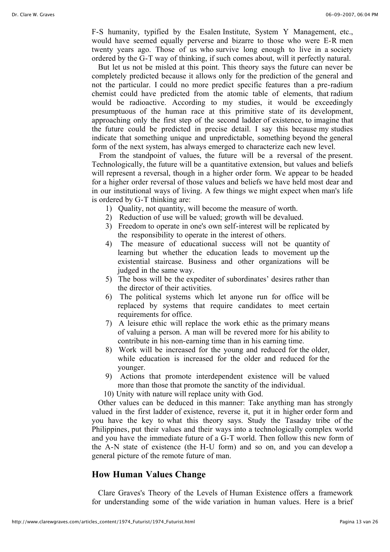F-S humanity, typified by the Esalen Institute, System Y Management, etc., would have seemed equally perverse and bizarre to those who were E-R men twenty years ago. Those of us who survive long enough to live in a society ordered by the G-T way of thinking, if such comes about, will it perfectly natural.

 But let us not be misled at this point. This theory says the future can never be completely predicted because it allows only for the prediction of the general and not the particular. I could no more predict specific features than a pre-radium chemist could have predicted from the atomic table of elements, that radium would be radioactive. According to my studies, it would be exceedingly presumptuous of the human race at this primitive state of its development, approaching only the first step of the second ladder of existence, to imagine that the future could be predicted in precise detail. I say this because my studies indicate that something unique and unpredictable, something beyond the general form of the next system, has always emerged to characterize each new level.

From the standpoint of values, the future will be a reversal of the present. Technologically, the future will be a quantitative extension, but values and beliefs will represent a reversal, though in a higher order form. We appear to be headed for a higher order reversal of those values and beliefs we have held most dear and in our institutional ways of living. A few things we might expect when man's life is ordered by G-T thinking are:

- 1) Quality, not quantity, will become the measure of worth.
- 2) Reduction of use will be valued; growth will be devalued.
- 3) Freedom to operate in one's own self-interest will be replicated by the responsibility to operate in the interest of others.
- 4) The measure of educational success will not be quantity of learning but whether the education leads to movement up the existential staircase. Business and other organizations will be judged in the same way.
- 5) The boss will be the expediter of subordinates' desires rather than the director of their activities.
- 6) The political systems which let anyone run for office will be replaced by systems that require candidates to meet certain requirements for office.
- 7) A leisure ethic will replace the work ethic as the primary means of valuing a person. A man will be revered more for his ability to contribute in his non-earning time than in his earning time.
- 8) Work will be increased for the young and reduced for the older, while education is increased for the older and reduced for the younger.
- 9) Actions that promote interdependent existence will be valued more than those that promote the sanctity of the individual.
- 10) Unity with nature will replace unity with God.

 Other values can be deduced in this manner: Take anything man has strongly valued in the first ladder of existence, reverse it, put it in higher order form and you have the key to what this theory says. Study the Tasaday tribe of the Philippines, put their values and their ways into a technologically complex world and you have the immediate future of a G-T world. Then follow this new form of the A-N state of existence (the H-U form) and so on, and you can develop a general picture of the remote future of man.

# **How Human Values Change**

 Clare Graves's Theory of the Levels of Human Existence offers a framework for understanding some of the wide variation in human values. Here is a brief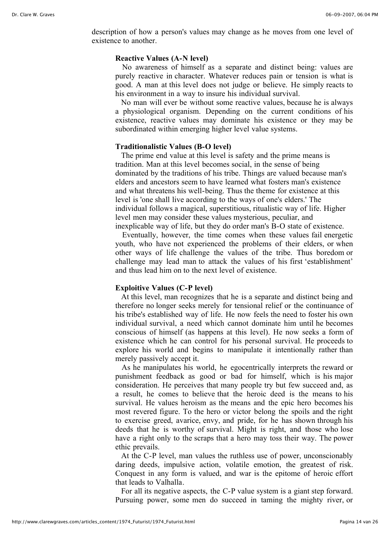description of how a person's values may change as he moves from one level of existence to another.

## **Reactive Values (A-N level)**

No awareness of himself as a separate and distinct being: values are purely reactive in character. Whatever reduces pain or tension is what is good. A man at this level does not judge or believe. He simply reacts to his environment in a way to insure his individual survival.

 No man will ever be without some reactive values, because he is always a physiological organism. Depending on the current conditions of his existence, reactive values may dominate his existence or they may be subordinated within emerging higher level value systems.

## **Traditionalistic Values (B-O level)**

 The prime end value at this level is safety and the prime means is tradition. Man at this level becomes social, in the sense of being dominated by the traditions of his tribe. Things are valued because man's elders and ancestors seem to have learned what fosters man's existence and what threatens his well-being. Thus the theme for existence at this level is 'one shall live according to the ways of one's elders.' The individual follows a magical, superstitious, ritualistic way of life. Higher level men may consider these values mysterious, peculiar, and inexplicable way of life, but they do order man's B-O state of existence.

Eventually, however, the time comes when these values fail energetic youth, who have not experienced the problems of their elders, or when other ways of life challenge the values of the tribe. Thus boredom or challenge may lead man to attack the values of his first 'establishment' and thus lead him on to the next level of existence.

## **Exploitive Values (C-P level)**

 At this level, man recognizes that he is a separate and distinct being and therefore no longer seeks merely for tensional relief or the continuance of his tribe's established way of life. He now feels the need to foster his own individual survival, a need which cannot dominate him until he becomes conscious of himself (as happens at this level). He now seeks a form of existence which he can control for his personal survival. He proceeds to explore his world and begins to manipulate it intentionally rather than merely passively accept it.

 As he manipulates his world, he egocentrically interprets the reward or punishment feedback as good or bad for himself, which is his major consideration. He perceives that many people try but few succeed and, as a result, he comes to believe that the heroic deed is the means to his survival. He values heroism as the means and the epic hero becomes his most revered figure. To the hero or victor belong the spoils and the right to exercise greed, avarice, envy, and pride, for he has shown through his deeds that he is worthy of survival. Might is right, and those who lose have a right only to the scraps that a hero may toss their way. The power ethic prevails.

 At the C-P level, man values the ruthless use of power, unconscionably daring deeds, impulsive action, volatile emotion, the greatest of risk. Conquest in any form is valued, and war is the epitome of heroic effort that leads to Valhalla.

 For all its negative aspects, the C-P value system is a giant step forward. Pursuing power, some men do succeed in taming the mighty river, or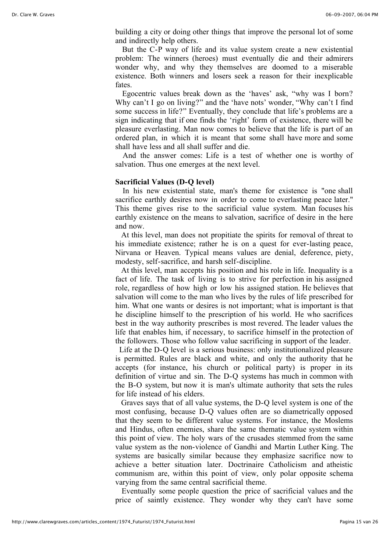building a city or doing other things that improve the personal lot of some and indirectly help others.

But the C-P way of life and its value system create a new existential problem: The winners (heroes) must eventually die and their admirers wonder why, and why they themselves are doomed to a miserable existence. Both winners and losers seek a reason for their inexplicable fates.

Egocentric values break down as the 'haves' ask, "why was I born? Why can't I go on living?" and the 'have nots' wonder, "Why can't I find some success in life?" Eventually, they conclude that life's problems are a sign indicating that if one finds the 'right' form of existence, there will be pleasure everlasting. Man now comes to believe that the life is part of an ordered plan, in which it is meant that some shall have more and some shall have less and all shall suffer and die.

And the answer comes: Life is a test of whether one is worthy of salvation. Thus one emerges at the next level.

#### **Sacrificial Values (D-Q level)**

In his new existential state, man's theme for existence is "one shall sacrifice earthly desires now in order to come to everlasting peace later." This theme gives rise to the sacrificial value system. Man focuses his earthly existence on the means to salvation, sacrifice of desire in the here and now.

 At this level, man does not propitiate the spirits for removal of threat to his immediate existence; rather he is on a quest for ever-lasting peace, Nirvana or Heaven. Typical means values are denial, deference, piety, modesty, self-sacrifice, and harsh self-discipline.

 At this level, man accepts his position and his role in life. Inequality is a fact of life. The task of living is to strive for perfection in his assigned role, regardless of how high or low his assigned station. He believes that salvation will come to the man who lives by the rules of life prescribed for him. What one wants or desires is not important; what is important is that he discipline himself to the prescription of his world. He who sacrifices best in the way authority prescribes is most revered. The leader values the life that enables him, if necessary, to sacrifice himself in the protection of the followers. Those who follow value sacrificing in support of the leader.

 Life at the D-Q level is a serious business: only institutionalized pleasure is permitted. Rules are black and white, and only the authority that he accepts (for instance, his church or political party) is proper in its definition of virtue and sin. The D-Q systems has much in common with the B-O system, but now it is man's ultimate authority that sets the rules for life instead of his elders.

 Graves says that of all value systems, the D-Q level system is one of the most confusing, because D-Q values often are so diametrically opposed that they seem to be different value systems. For instance, the Moslems and Hindus, often enemies, share the same thematic value system within this point of view. The holy wars of the crusades stemmed from the same value system as the non-violence of Gandhi and Martin Luther King. The systems are basically similar because they emphasize sacrifice now to achieve a better situation later. Doctrinaire Catholicism and atheistic communism are, within this point of view, only polar opposite schema varying from the same central sacrificial theme.

 Eventually some people question the price of sacrificial values and the price of saintly existence. They wonder why they can't have some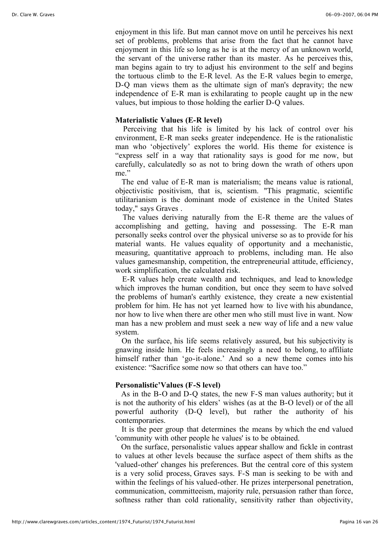enjoyment in this life. But man cannot move on until he perceives his next set of problems, problems that arise from the fact that he cannot have enjoyment in this life so long as he is at the mercy of an unknown world, the servant of the universe rather than its master. As he perceives this, man begins again to try to adjust his environment to the self and begins the tortuous climb to the E-R level. As the E-R values begin to emerge, D-Q man views them as the ultimate sign of man's depravity; the new independence of E-R man is exhilarating to people caught up in the new values, but impious to those holding the earlier D-Q values.

## **Materialistic Values (E-R level)**

Perceiving that his life is limited by his lack of control over his environment, E-R man seeks greater independence. He is the rationalistic man who 'objectively' explores the world. His theme for existence is "express self in a way that rationality says is good for me now, but carefully, calculatedly so as not to bring down the wrath of others upon me"

 The end value of E-R man is materialism; the means value is rational, objectivistic positivism, that is, scientism. "This pragmatic, scientific utilitarianism is the dominant mode of existence in the United States today," says Graves .

The values deriving naturally from the E-R theme are the values of accomplishing and getting, having and possessing. The E-R man personally seeks control over the physical universe so as to provide for his material wants. He values equality of opportunity and a mechanistic, measuring, quantitative approach to problems, including man. He also values gamesmanship, competition, the entrepreneurial attitude, efficiency, work simplification, the calculated risk.

E-R values help create wealth and techniques, and lead to knowledge which improves the human condition, but once they seem to have solved the problems of human's earthly existence, they create a new existential problem for him. He has not yet learned how to live with his abundance, nor how to live when there are other men who still must live in want. Now man has a new problem and must seek a new way of life and a new value system.

 On the surface, his life seems relatively assured, but his subjectivity is gnawing inside him. He feels increasingly a need to belong, to affiliate himself rather than 'go-it-alone.' And so a new theme comes into his existence: "Sacrifice some now so that others can have too."

# **Personalistic'Values (F-S level)**

 As in the B-O and D-Q states, the new F-S man values authority; but it is not the authority of his elders' wishes (as at the B-O level) or of the all powerful authority (D-Q level), but rather the authority of his contemporaries.

 It is the peer group that determines the means by which the end valued 'community with other people he values' is to be obtained.

 On the surface, personalistic values appear shallow and fickle in contrast to values at other levels because the surface aspect of them shifts as the 'valued-other' changes his preferences. But the central core of this system is a very solid process, Graves says. F-S man is seeking to be with and within the feelings of his valued-other. He prizes interpersonal penetration, communication, committeeism, majority rule, persuasion rather than force, softness rather than cold rationality, sensitivity rather than objectivity,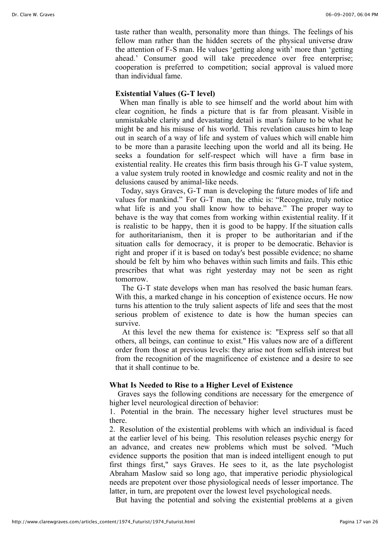taste rather than wealth, personality more than things. The feelings of his fellow man rather than the hidden secrets of the physical universe draw the attention of F-S man. He values 'getting along with' more than 'getting ahead.' Consumer good will take precedence over free enterprise; cooperation is preferred to competition; social approval is valued more than individual fame.

## **Existential Values (G-T level)**

When man finally is able to see himself and the world about him with clear cognition, he finds a picture that is far from pleasant. Visible in unmistakable clarity and devastating detail is man's failure to be what he might be and his misuse of his world. This revelation causes him to leap out in search of a way of life and system of values which will enable him to be more than a parasite leeching upon the world and all its being. He seeks a foundation for self-respect which will have a firm base in existential reality. He creates this firm basis through his G-T value system, a value system truly rooted in knowledge and cosmic reality and not in the delusions caused by animal-like needs.

 Today, says Graves, G-T man is developing the future modes of life and values for mankind." For G-T man, the ethic is: "Recognize, truly notice what life is and you shall know how to behave." The proper way to behave is the way that comes from working within existential reality. If it is realistic to be happy, then it is good to be happy. If the situation calls for authoritarianism, then it is proper to be authoritarian and if the situation calls for democracy, it is proper to be democratic. Behavior is right and proper if it is based on today's best possible evidence; no shame should be felt by him who behaves within such limits and fails. This ethic prescribes that what was right yesterday may not be seen as right tomorrow.

 The G-T state develops when man has resolved the basic human fears. With this, a marked change in his conception of existence occurs. He now turns his attention to the truly salient aspects of life and sees that the most serious problem of existence to date is how the human species can survive.

At this level the new thema for existence is: "Express self so that all others, all beings, can continue to exist." His values now are of a different order from those at previous levels: they arise not from selfish interest but from the recognition of the magnificence of existence and a desire to see that it shall continue to be.

# **What Is Needed to Rise to a Higher Level of Existence**

 Graves says the following conditions are necessary for the emergence of higher level neurological direction of behavior:

1. Potential in the brain. The necessary higher level structures must be there.

2. Resolution of the existential problems with which an individual is faced at the earlier level of his being. This resolution releases psychic energy for an advance, and creates new problems which must be solved. "Much evidence supports the position that man is indeed intelligent enough to put first things first," says Graves. He sees to it, as the late psychologist Abraham Maslow said so long ago, that imperative periodic physiological needs are prepotent over those physiological needs of lesser importance. The latter, in turn, are prepotent over the lowest level psychological needs.

But having the potential and solving the existential problems at a given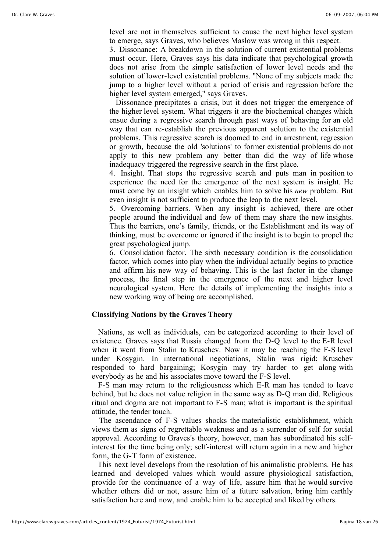level are not in themselves sufficient to cause the next higher level system to emerge, says Graves, who believes Maslow was wrong in this respect.

3. Dissonance: A breakdown in the solution of current existential problems must occur. Here, Graves says his data indicate that psychological growth does not arise from the simple satisfaction of lower level needs and the solution of lower-level existential problems. "None of my subjects made the jump to a higher level without a period of crisis and regression before the higher level system emerged," says Graves.

 Dissonance precipitates a crisis, but it does not trigger the emergence of the higher level system. What triggers it are the biochemical changes which ensue during a regressive search through past ways of behaving for an old way that can re-establish the previous apparent solution to the existential problems. This regressive search is doomed to end in arrestment, regression or growth, because the old 'solutions' to former existential problems do not apply to this new problem any better than did the way of life whose inadequacy triggered the regressive search in the first place.

4. Insight. That stops the regressive search and puts man in position to experience the need for the emergence of the next system is insight. He must come by an insight which enables him to solve his *new* problem. But even insight is not sufficient to produce the leap to the next level.

5. Overcoming barriers. When any insight is achieved, there are other people around the individual and few of them may share the new insights. Thus the barriers, one's family, friends, or the Establishment and its way of thinking, must be overcome or ignored if the insight is to begin to propel the great psychological jump.

6. Consolidation factor. The sixth necessary condition is the consolidation factor, which comes into play when the individual actually begins to practice and affirm his new way of behaving. This is the last factor in the change process, the final step in the emergence of the next and higher level neurological system. Here the details of implementing the insights into a new working way of being are accomplished.

# **Classifying Nations by the Graves Theory**

 Nations, as well as individuals, can be categorized according to their level of existence. Graves says that Russia changed from the D-Q level to the E-R level when it went from Stalin to Kruschev. Now it may be reaching the F-S level under Kosygin. In international negotiations, Stalin was rigid; Kruschev responded to hard bargaining; Kosygin may try harder to get along with everybody as he and his associates move toward the F-S level.

 F-S man may return to the religiousness which E-R man has tended to leave behind, but he does not value religion in the same way as D-Q man did. Religious ritual and dogma are not important to F-S man; what is important is the spiritual attitude, the tender touch.

The ascendance of F-S values shocks the materialistic establishment, which views them as signs of regrettable weakness and as a surrender of self for social approval. According to Graves's theory, however, man has subordinated his selfinterest for the time being only; self-interest will return again in a new and higher form, the G-T form of existence.

 This next level develops from the resolution of his animalistic problems. He has learned and developed values which would assure physiological satisfaction, provide for the continuance of a way of life, assure him that he would survive whether others did or not, assure him of a future salvation, bring him earthly satisfaction here and now, and enable him to be accepted and liked by others.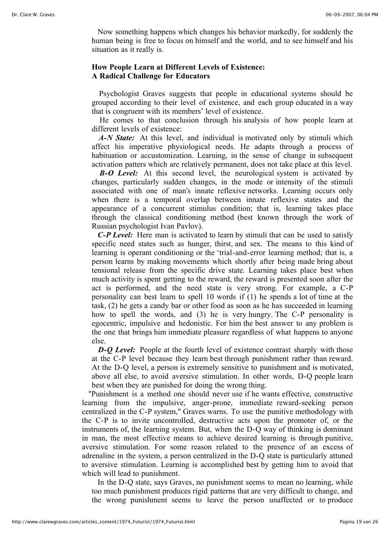Now something happens which changes his behavior markedly, for suddenly the human being is free to focus on himself and the world, and to see himself and his situation as it really is.

# **How People Learn at Different Levels of Existence: A Radical Challenge for Educators**

Psychologist Graves suggests that people in educational systems should be grouped according to their level of existence, and each group educated in a way that is congruent with its members' level of existence.

He comes to that conclusion through his analysis of how people learn at different levels of existence:

*A-N State:* At this level, and individual is motivated only by stimuli which affect his imperative physiological needs. He adapts through a process of habituation or accustomization. Learning, in the sense of change in subsequent activation patters which are relatively permanent, does not take place at this level.

*B-O Level:* At this second level, the neurological system is activated by changes, particularly sudden changes, in the mode or intensity of the stimuli associated with one of man's innate reflexive networks. Learning occurs only when there is a temporal overlap between innate reflexive states and the appearance of a concurrent stimulus condition; that is, learning takes place through the classical conditioning method (best known through the work of Russian psychologist Ivan Pavlov).

 *C-P Level:* Here man is activated to learn by stimuli that can be used to satisfy specific need states such as hunger, thirst, and sex. The means to this kind of learning is operant conditioning or the 'trial-and-error learning method; that is, a person learns by making movements which shortly after being made bring about tensional release from the specific drive state. Learning takes place best when much activity is spent getting to the reward, the reward is presented soon after the act is performed, and the need state is very strong. For example, a C-P personality can best learn to spell 10 words if (1) he spends a lot of time at the task, (2) he gets a candy bar or other food as soon as he has succeeded in learning how to spell the words, and (3) he is very hungry. The C-P personality is egocentric, impulsive and hedonistic. For him the best answer to any problem is the one that brings him immediate pleasure regardless of what happens to anyone else.

*D-O Level:* People at the fourth level of existence contrast sharply with those at the C-P level because they learn best through punishment rather than reward. At the D-Q level, a person is extremely sensitive to punishment and is motivated, above all else, to avoid aversive stimulation. In other words, D-Q people learn best when they are punished for doing the wrong thing.

 "Punishment is a method one should never use if he wants effective, constructive learning from the impulsive, anger-prone, immediate reward-seeking person centralized in the C-P system," Graves warns. To use the punitive methodology with the C-P is to invite uncontrolled, destructive acts upon the promoter of, or the instruments of, the learning system. But, when the D-Q way of thinking is dominant in man, the most effective means to achieve desired learning is through punitive, aversive stimulation. For some reason related to the presence of an excess of adrenaline in the system, a person centralized in the D-Q state is particularly attuned to aversive stimulation. Learning is accomplished best by getting him to avoid that which will lead to punishment.

 In the D-Q state, says Graves, no punishment seems to mean no learning, while too much punishment produces rigid patterns that are very difficult to change, and the wrong punishment seems to leave the person unaffected or to produce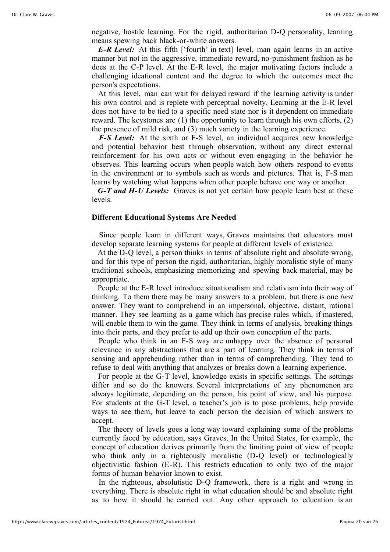negative, hostile learning. For the rigid, authoritarian D-Q personality, learning means spewing back black-or-white answers.

*E-R Level:* At this fifth ['fourth' in text] level, man again learns in an active manner but not in the aggressive, immediate reward, no-punishment fashion as he does at the C-P level. At the E-R level, the major motivating factors include a challenging ideational content and the degree to which the outcomes meet the person's expectations.

 At this level, man can wait for delayed reward if the learning activity is under his own control and is replete with perceptual novelty. Learning at the E-R level does not have to be tied to a specific need state nor is it dependent on immediate reward. The keystones are (1) the opportunity to learn through his own efforts, (2) the presence of mild risk, and (3) much variety in the learning experience.

*F-S Level:* At the sixth or F-S level, an individual acquires new knowledge and potential behavior best through observation, without any direct external reinforcement for his own acts or without even engaging in the behavior he observes. This learning occurs when people watch how others respond to events in the environment or to symbols such as words and pictures. That is, F-S man learns by watching what happens when other people behave one way or another.

 *G-T and H-U Levels:* Graves is not yet certain how people learn best at these levels.

#### **Different Educational Systems Are Needed**

Since people learn in different ways, Graves maintains that educators must develop separate learning systems for people at different levels of existence.

 At the D-Q level, a person thinks in terms of absolute right and absolute wrong, and for this type of person the rigid, authoritarian, highly moralistic style of many traditional schools, emphasizing memorizing and spewing back material, may be appropriate.

 People at the E-R level introduce situationalism and relativism into their way of thinking. To them there may be many answers to a problem, but there is one *best* answer. They want to comprehend in an impersonal, objective, distant, rational manner. They see learning as a game which has precise rules which, if mastered, will enable them to win the game. They think in terms of analysis, breaking things into their parts, and they prefer to add up their own conception of the parts.

People who think in an F-S way are unhappy over the absence of personal relevance in any abstractions that are a part of learning. They think in terms of sensing and apprehending rather than in terms of comprehending. They tend to refuse to deal with anything that analyzes or breaks down a learning experience.

 For people at the G-T level, knowledge exists in specific settings. The settings differ and so do the knowers. Several interpretations of any phenomenon are always legitimate, depending on the person, his point of view, and his purpose. For students at the G-T level, a teacher's job is to pose problems, help provide ways to see them, but leave to each person the decision of which answers to accept.

 The theory of levels goes a long way toward explaining some of the problems currently faced by education, says Graves. In the United States, for example, the concept of education derives primarily from the limiting point of view of people who think only in a righteously moralistic (D-Q level) or technologically objectivistic fashion (E-R). This restricts education to only two of the major forms of human behavior known to exist.

In the righteous, absolutistic D-Q framework, there is a right and wrong in everything. There is absolute right in what education should be and absolute right as to how it should be carried out. Any other approach to education is an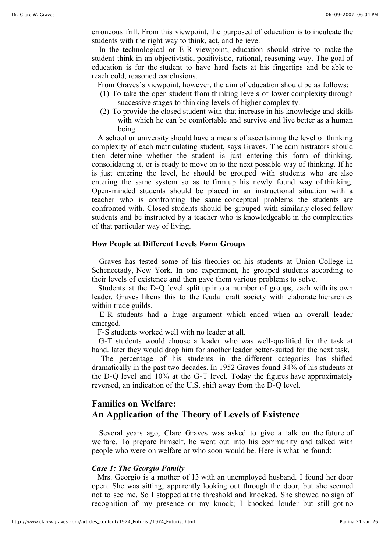erroneous frill. From this viewpoint, the purposed of education is to inculcate the students with the right way to think, act, and believe.

In the technological or E-R viewpoint, education should strive to make the student think in an objectivistic, positivistic, rational, reasoning way. The goal of education is for the student to have hard facts at his fingertips and be able to reach cold, reasoned conclusions.

From Graves's viewpoint, however, the aim of education should be as follows:

- (1) To take the open student from thinking levels of lower complexity through successive stages to thinking levels of higher complexity.
- (2) To provide the closed student with that increase in his knowledge and skills with which he can be comfortable and survive and live better as a human being.

 A school or university should have a means of ascertaining the level of thinking complexity of each matriculating student, says Graves. The administrators should then determine whether the student is just entering this form of thinking, consolidating it, or is ready to move on to the next possible way of thinking. If he is just entering the level, he should be grouped with students who are also entering the same system so as to firm up his newly found way of thinking. Open-minded students should be placed in an instructional situation with a teacher who is confronting the same conceptual problems the students are confronted with. Closed students should be grouped with similarly closed fellow students and be instructed by a teacher who is knowledgeable in the complexities of that particular way of living.

# **How People at Different Levels Form Groups**

Graves has tested some of his theories on his students at Union College in Schenectady, New York. In one experiment, he grouped students according to their levels of existence and then gave them various problems to solve.

 Students at the D-Q level split up into a number of groups, each with its own leader. Graves likens this to the feudal craft society with elaborate hierarchies within trade guilds.

E-R students had a huge argument which ended when an overall leader emerged.

F-S students worked well with no leader at all.

G-T students would choose a leader who was well-qualified for the task at hand. later they would drop him for another leader better-suited for the next task.

The percentage of his students in the different categories has shifted dramatically in the past two decades. In 1952 Graves found 34% of his students at the D-Q level and 10% at the G-T level. Today the figures have approximately reversed, an indication of the U.S. shift away from the D-Q level.

# **Families on Welfare: An Application of the Theory of Levels of Existence**

Several years ago, Clare Graves was asked to give a talk on the future of welfare. To prepare himself, he went out into his community and talked with people who were on welfare or who soon would be. Here is what he found:

#### *Case 1: The Georgio Family*

 Mrs. Georgio is a mother of 13 with an unemployed husband. I found her door open. She was sitting, apparently looking out through the door, but she seemed not to see me. So I stopped at the threshold and knocked. She showed no sign of recognition of my presence or my knock; I knocked louder but still got no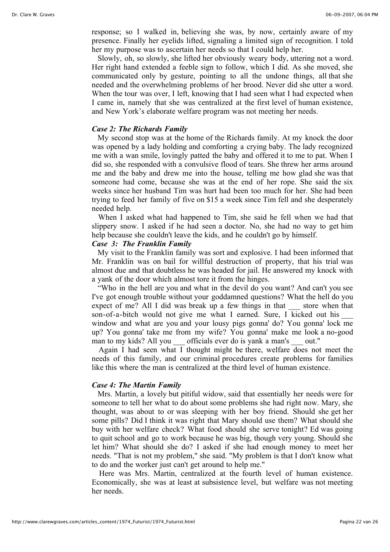response; so I walked in, believing she was, by now, certainly aware of my presence. Finally her eyelids lifted, signaling a limited sign of recognition. I told her my purpose was to ascertain her needs so that I could help her.

 Slowly, oh, so slowly, she lifted her obviously weary body, uttering not a word. Her right hand extended a feeble sign to follow, which I did. As she moved, she communicated only by gesture, pointing to all the undone things, all that she needed and the overwhelming problems of her brood. Never did she utter a word. When the tour was over, I left, knowing that I had seen what I had expected when I came in, namely that she was centralized at the first level of human existence, and New York's elaborate welfare program was not meeting her needs.

## *Case 2: The Richards Family*

 My second stop was at the home of the Richards family. At my knock the door was opened by a lady holding and comforting a crying baby. The lady recognized me with a wan smile, lovingly patted the baby and offered it to me to pat. When I did so, she responded with a convulsive flood of tears. She threw her arms around me and the baby and drew me into the house, telling me how glad she was that someone had come, because she was at the end of her rope. She said the six weeks since her husband Tim was hurt had been too much for her. She had been trying to feed her family of five on \$15 a week since Tim fell and she desperately needed help.

 When I asked what had happened to Tim, she said he fell when we had that slippery snow. I asked if he had seen a doctor. No, she had no way to get him help because she couldn't leave the kids, and he couldn't go by himself.

# *Case 3: The Franklin Family*

 My visit to the Franklin family was sort and explosive. I had been informed that Mr. Franklin was on bail for willful destruction of property, that his trial was almost due and that doubtless he was headed for jail. He answered my knock with a yank of the door which almost tore it from the hinges.

 "Who in the hell are you and what in the devil do you want? And can't you see I've got enough trouble without your goddamned questions? What the hell do you expect of me? All I did was break up a few things in that store when that son-of-a-bitch would not give me what I earned. Sure, I kicked out his window and what are you and your lousy pigs gonna' do? You gonna' lock me up? You gonna' take me from my wife? You gonna' make me look a no-good man to my kids? All you officials ever do is yank a man's out."

Again I had seen what I thought might be there, welfare does not meet the needs of this family, and our criminal procedures create problems for families like this where the man is centralized at the third level of human existence.

## *Case 4: The Martin Family*

 Mrs. Martin, a lovely but pitiful widow, said that essentially her needs were for someone to tell her what to do about some problems she had right now. Mary, she thought, was about to or was sleeping with her boy friend. Should she get her some pills? Did I think it was right that Mary should use them? What should she buy with her welfare check? What food should she serve tonight? Ed was going to quit school and go to work because he was big, though very young. Should she let him? What should she do? I asked if she had enough money to meet her needs. "That is not my problem," she said. "My problem is that I don't know what to do and the worker just can't get around to help me."

Here was Mrs. Martin, centralized at the fourth level of human existence. Economically, she was at least at subsistence level, but welfare was not meeting her needs.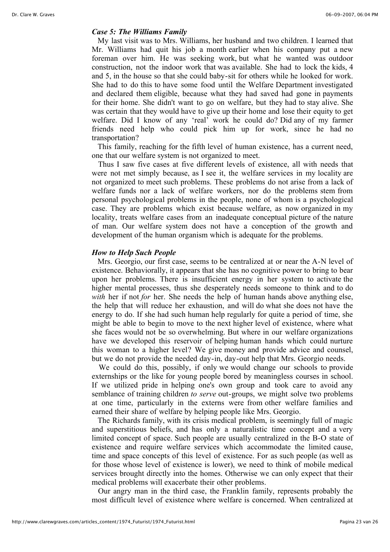# *Case 5: The Williams Family*

 My last visit was to Mrs. Williams, her husband and two children. I learned that Mr. Williams had quit his job a month earlier when his company put a new foreman over him. He was seeking work, but what he wanted was outdoor construction, not the indoor work that was available. She had to lock the kids, 4 and 5, in the house so that she could baby-sit for others while he looked for work. She had to do this to have some food until the Welfare Department investigated and declared them eligible, because what they had saved had gone in payments for their home. She didn't want to go on welfare, but they had to stay alive. She was certain that they would have to give up their home and lose their equity to get welfare. Did I know of any 'real' work he could do? Did any of my farmer friends need help who could pick him up for work, since he had no transportation?

 This family, reaching for the fifth level of human existence, has a current need, one that our welfare system is not organized to meet.

 Thus I saw five cases at five different levels of existence, all with needs that were not met simply because, as I see it, the welfare services in my locality are not organized to meet such problems. These problems do not arise from a lack of welfare funds nor a lack of welfare workers, nor do the problems stem from personal psychological problems in the people, none of whom is a psychological case. They are problems which exist because welfare, as now organized in my locality, treats welfare cases from an inadequate conceptual picture of the nature of man. Our welfare system does not have a conception of the growth and development of the human organism which is adequate for the problems.

#### *How to Help Such People*

 Mrs. Georgio, our first case, seems to be centralized at or near the A-N level of existence. Behaviorally, it appears that she has no cognitive power to bring to bear upon her problems. There is insufficient energy in her system to activate the higher mental processes, thus she desperately needs someone to think and to do *with* her if not *for* her. She needs the help of human hands above anything else, the help that will reduce her exhaustion, and will do what she does not have the energy to do. If she had such human help regularly for quite a period of time, she might be able to begin to move to the next higher level of existence, where what she faces would not be so overwhelming. But where in our welfare organizations have we developed this reservoir of helping human hands which could nurture this woman to a higher level? We give money and provide advice and counsel, but we do not provide the needed day-in, day-out help that Mrs. Georgio needs.

We could do this, possibly, if only we would change our schools to provide externships or the like for young people bored by meaningless courses in school. If we utilized pride in helping one's own group and took care to avoid any semblance of training children *to serve* out-groups, we might solve two problems at one time, particularly in the externs were from other welfare families and earned their share of welfare by helping people like Mrs. Georgio.

 The Richards family, with its crisis medical problem, is seemingly full of magic and superstitious beliefs, and has only a naturalistic time concept and a very limited concept of space. Such people are usually centralized in the B-O state of existence and require welfare services which accommodate the limited cause, time and space concepts of this level of existence. For as such people (as well as for those whose level of existence is lower), we need to think of mobile medical services brought directly into the homes. Otherwise we can only expect that their medical problems will exacerbate their other problems.

 Our angry man in the third case, the Franklin family, represents probably the most difficult level of existence where welfare is concerned. When centralized at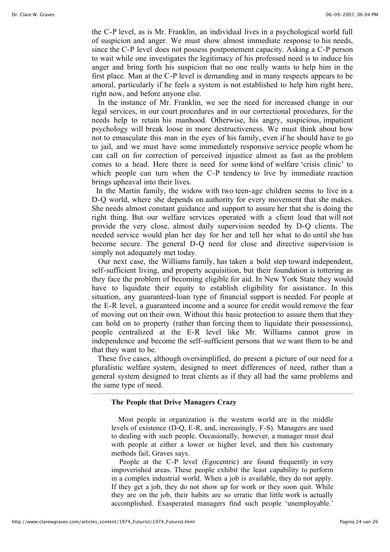the C-P level, as is Mr. Franklin, an individual lives in a psychological world full of suspicion and anger. We must show almost immediate response to his needs, since the C-P level does not possess postponement capacity. Asking a C-P person to wait while one investigates the legitimacy of his professed need is to induce his anger and bring forth his suspicion that no one really wants to help him in the first place. Man at the C-P level is demanding and in many respects appears to be amoral, particularly if he feels a system is not established to help him right here, right now, and before anyone else.

 In the instance of Mr. Franklin, we see the need for increased change in our legal services, in our court procedures and in our correctional procedures, for the needs help to retain his manhood. Otherwise, his angry, suspicious, impatient psychology will break loose in more destructiveness. We must think about how not to emasculate this man in the eyes of his family, even if he should have to go to jail, and we must have some immediately responsive service people whom he can call on for correction of perceived injustice almost as fast as the problem comes to a head. Here there is need for some kind of welfare 'crisis clinic' to which people can turn when the C-P tendency to live by immediate reaction brings upheaval into their lives.

In the Martin family, the widow with two teen-age children seems to live in a D-Q world, where she depends on authority for every movement that she makes. She needs almost constant guidance and support to assure her that she is doing the right thing. But our welfare services operated with a client load that will not provide the very close, almost daily supervision needed by D-Q clients. The needed service would plan her day for her and tell her what to do until she has become secure. The general D-Q need for close and directive supervision is simply not adequately met today.

 Our next case, the Williams family, has taken a bold step toward independent, self-sufficient living, and property acquisition, but their foundation is tottering as they face the problem of becoming eligible for aid. In New York State they would have to liquidate their equity to establish eligibility for assistance. In this situation, any guaranteed-loan type of financial support is needed. For people at the E-R level, a guaranteed income and a source for credit would remove the fear of moving out on their own. Without this basic protection to assure them that they can hold on to property (rather than forcing them to liquidate their possessions), people centralized at the E-R level like Mr. Williams cannot grow in independence and become the self-sufficient persons that we want them to be and that they want to be.

 These five cases, although oversimplified, do present a picture of our need for a pluralistic welfare system, designed to meet differences of need, rather than a general system designed to treat clients as if they all had the same problems and the same type of need.

#### **The People that Drive Managers Crazy**

Most people in organization is the western world are in the middle levels of existence (D-Q, E-R, and, increasingly, F-S). Managers are used to dealing with such people. Occasionally, however, a manager must deal with people at either a lower or higher level, and then his customary methods fail, Graves says.

People at the C-P level (Egocentric) are found frequently in very impoverished areas. These people exhibit the least capability to perform in a complex industrial world. When a job is available, they do not apply. If they get a job, they do not show up for work or they soon quit. While they are on the job, their habits are so erratic that little work is actually accomplished. Exasperated managers find such people 'unemployable.'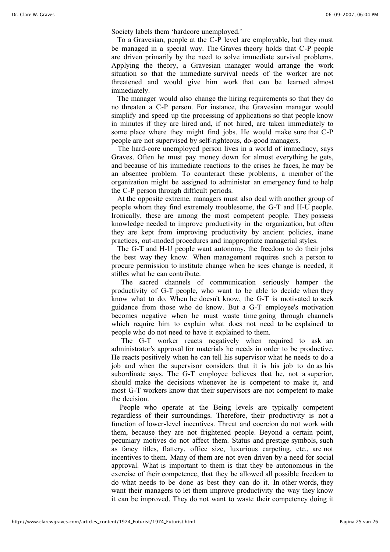Society labels them 'hardcore unemployed.'

To a Gravesian, people at the C-P level are employable, but they must be managed in a special way. The Graves theory holds that C-P people are driven primarily by the need to solve immediate survival problems. Applying the theory, a Gravesian manager would arrange the work situation so that the immediate survival needs of the worker are not threatened and would give him work that can be learned almost immediately.

The manager would also change the hiring requirements so that they do no threaten a C-P person. For instance, the Gravesian manager would simplify and speed up the processing of applications so that people know in minutes if they are hired and, if not hired, are taken immediately to some place where they might find jobs. He would make sure that C-P people are not supervised by self-righteous, do-good managers.

The hard-core unemployed person lives in a world of immediacy, says Graves. Often he must pay money down for almost everything he gets, and because of his immediate reactions to the crises he faces, he may be an absentee problem. To counteract these problems, a member of the organization might be assigned to administer an emergency fund to help the C-P person through difficult periods.

At the opposite extreme, managers must also deal with another group of people whom they find extremely troublesome, the G-T and H-U people. Ironically, these are among the most competent people. They possess knowledge needed to improve productivity in the organization, but often they are kept from improving productivity by ancient policies, inane practices, out-moded procedures and inappropriate managerial styles.

The G-T and H-U people want autonomy, the freedom to do their jobs the best way they know. When management requires such a person to procure permission to institute change when he sees change is needed, it stifles what he can contribute.

The sacred channels of communication seriously hamper the productivity of G-T people, who want to be able to decide when they know what to do. When he doesn't know, the G-T is motivated to seek guidance from those who do know. But a G-T employee's motivation becomes negative when he must waste time going through channels which require him to explain what does not need to be explained to people who do not need to have it explained to them.

The G-T worker reacts negatively when required to ask an administrator's approval for materials he needs in order to be productive. He reacts positively when he can tell his supervisor what he needs to do a job and when the supervisor considers that it is his job to do as his subordinate says. The G-T employee believes that he, not a superior, should make the decisions whenever he is competent to make it, and most G-T workers know that their supervisors are not competent to make the decision.

People who operate at the Being levels are typically competent regardless of their surroundings. Therefore, their productivity is not a function of lower-level incentives. Threat and coercion do not work with them, because they are not frightened people. Beyond a certain point, pecuniary motives do not affect them. Status and prestige symbols, such as fancy titles, flattery, office size, luxurious carpeting, etc., are not incentives to them. Many of them are not even driven by a need for social approval. What is important to them is that they be autonomous in the exercise of their competence, that they be allowed all possible freedom to do what needs to be done as best they can do it. In other words, they want their managers to let them improve productivity the way they know it can be improved. They do not want to waste their competency doing it